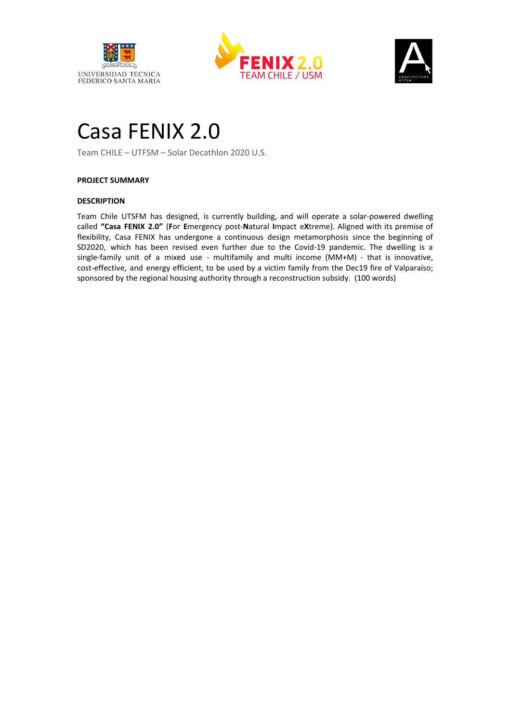





# Casa FENIX 2.0

Team CHILE – UTFSM – Solar Decathlon 2020 U.S.

# **PROJECT SUMMARY**

# **DESCRIPTION**

Team Chile UTSFM has designed, is currently building, and will operate a solar-powered dwelling called **"Casa FENIX 2.0"** (**F**or **E**mergency post-**N**atural **I**mpact e**X**treme). Aligned with its premise of flexibility, Casa FENIX has undergone a continuous design metamorphosis since the beginning of SD2020, which has been revised even further due to the Covid-19 pandemic. The dwelling is a single-family unit of a mixed use - multifamily and multi income (MM+M) - that is innovative, cost-effective, and energy efficient, to be used by a victim family from the Dec19 fire of Valparaíso; sponsored by the regional housing authority through a reconstruction subsidy. (100 words)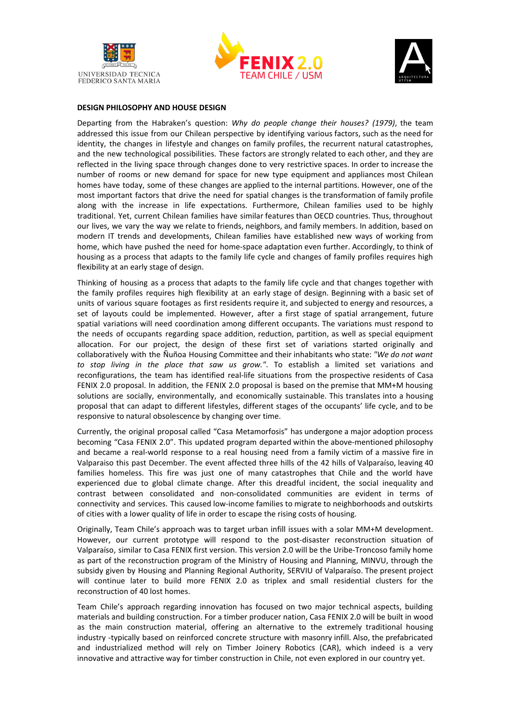





#### **DESIGN PHILOSOPHY AND HOUSE DESIGN**

Departing from the Habraken's question: *Why do people change their houses? (1979)*, the team addressed this issue from our Chilean perspective by identifying various factors, such as the need for identity, the changes in lifestyle and changes on family profiles, the recurrent natural catastrophes, and the new technological possibilities. These factors are strongly related to each other, and they are reflected in the living space through changes done to very restrictive spaces. In order to increase the number of rooms or new demand for space for new type equipment and appliances most Chilean homes have today, some of these changes are applied to the internal partitions. However, one of the most important factors that drive the need for spatial changes is the transformation of family profile along with the increase in life expectations. Furthermore, Chilean families used to be highly traditional. Yet, current Chilean families have similar features than OECD countries. Thus, throughout our lives, we vary the way we relate to friends, neighbors, and family members. In addition, based on modern IT trends and developments, Chilean families have established new ways of working from home, which have pushed the need for home-space adaptation even further. Accordingly, to think of housing as a process that adapts to the family life cycle and changes of family profiles requires high flexibility at an early stage of design.

Thinking of housing as a process that adapts to the family life cycle and that changes together with the family profiles requires high flexibility at an early stage of design. Beginning with a basic set of units of various square footages as first residents require it, and subjected to energy and resources, a set of layouts could be implemented. However, after a first stage of spatial arrangement, future spatial variations will need coordination among different occupants. The variations must respond to the needs of occupants regarding space addition, reduction, partition, as well as special equipment allocation. For our project, the design of these first set of variations started originally and collaboratively with the Ñuñoa Housing Committee and their inhabitants who state: *"We do not want to stop living in the place that saw us grow."*. To establish a limited set variations and reconfigurations, the team has identified real-life situations from the prospective residents of Casa FENIX 2.0 proposal. In addition, the FENIX 2.0 proposal is based on the premise that MM+M housing solutions are socially, environmentally, and economically sustainable. This translates into a housing proposal that can adapt to different lifestyles, different stages of the occupants' life cycle, and to be responsive to natural obsolescence by changing over time.

Currently, the original proposal called "Casa Metamorfosis" has undergone a major adoption process becoming "Casa FENIX 2.0". This updated program departed within the above-mentioned philosophy and became a real-world response to a real housing need from a family victim of a massive fire in Valparaiso this past December. The event affected three hills of the 42 hills of Valparaíso, leaving 40 families homeless. This fire was just one of many catastrophes that Chile and the world have experienced due to global climate change. After this dreadful incident, the social inequality and contrast between consolidated and non-consolidated communities are evident in terms of connectivity and services. This caused low-income families to migrate to neighborhoods and outskirts of cities with a lower quality of life in order to escape the rising costs of housing.

Originally, Team Chile's approach was to target urban infill issues with a solar MM+M development. However, our current prototype will respond to the post-disaster reconstruction situation of Valparaíso, similar to Casa FENIX first version. This version 2.0 will be the Uribe-Troncoso family home as part of the reconstruction program of the Ministry of Housing and Planning, MINVU, through the subsidy given by Housing and Planning Regional Authority, SERVIU of Valparaíso. The present project will continue later to build more FENIX 2.0 as triplex and small residential clusters for the reconstruction of 40 lost homes.

Team Chile's approach regarding innovation has focused on two major technical aspects, building materials and building construction. For a timber producer nation, Casa FENIX 2.0 will be built in wood as the main construction material, offering an alternative to the extremely traditional housing industry -typically based on reinforced concrete structure with masonry infill. Also, the prefabricated and industrialized method will rely on Timber Joinery Robotics (CAR), which indeed is a very innovative and attractive way for timber construction in Chile, not even explored in our country yet.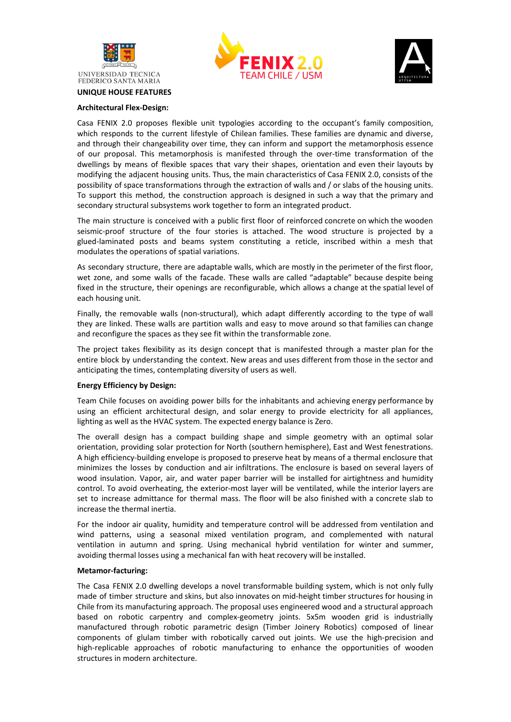





#### **UNIQUE HOUSE FEATURES**

#### **Architectural Flex-Design:**

Casa FENIX 2.0 proposes flexible unit typologies according to the occupant's family composition, which responds to the current lifestyle of Chilean families. These families are dynamic and diverse, and through their changeability over time, they can inform and support the metamorphosis essence of our proposal. This metamorphosis is manifested through the over-time transformation of the dwellings by means of flexible spaces that vary their shapes, orientation and even their layouts by modifying the adjacent housing units. Thus, the main characteristics of Casa FENIX 2.0, consists of the possibility of space transformations through the extraction of walls and / or slabs of the housing units. To support this method, the construction approach is designed in such a way that the primary and secondary structural subsystems work together to form an integrated product.

The main structure is conceived with a public first floor of reinforced concrete on which the wooden seismic-proof structure of the four stories is attached. The wood structure is projected by a glued-laminated posts and beams system constituting a reticle, inscribed within a mesh that modulates the operations of spatial variations.

As secondary structure, there are adaptable walls, which are mostly in the perimeter of the first floor, wet zone, and some walls of the facade. These walls are called "adaptable" because despite being fixed in the structure, their openings are reconfigurable, which allows a change at the spatial level of each housing unit.

Finally, the removable walls (non-structural), which adapt differently according to the type of wall they are linked. These walls are partition walls and easy to move around so that families can change and reconfigure the spaces as they see fit within the transformable zone.

The project takes flexibility as its design concept that is manifested through a master plan for the entire block by understanding the context. New areas and uses different from those in the sector and anticipating the times, contemplating diversity of users as well.

#### **Energy Efficiency by Design:**

Team Chile focuses on avoiding power bills for the inhabitants and achieving energy performance by using an efficient architectural design, and solar energy to provide electricity for all appliances, lighting as well as the HVAC system. The expected energy balance is Zero.

The overall design has a compact building shape and simple geometry with an optimal solar orientation, providing solar protection for North (southern hemisphere), East and West fenestrations. A high efficiency-building envelope is proposed to preserve heat by means of a thermal enclosure that minimizes the losses by conduction and air infiltrations. The enclosure is based on several layers of wood insulation. Vapor, air, and water paper barrier will be installed for airtightness and humidity control. To avoid overheating, the exterior-most layer will be ventilated, while the interior layers are set to increase admittance for thermal mass. The floor will be also finished with a concrete slab to increase the thermal inertia.

For the indoor air quality, humidity and temperature control will be addressed from ventilation and wind patterns, using a seasonal mixed ventilation program, and complemented with natural ventilation in autumn and spring. Using mechanical hybrid ventilation for winter and summer, avoiding thermal losses using a mechanical fan with heat recovery will be installed.

## **Metamor-facturing:**

The Casa FENIX 2.0 dwelling develops a novel transformable building system, which is not only fully made of timber structure and skins, but also innovates on mid-height timber structures for housing in Chile from its manufacturing approach. The proposal uses engineered wood and a structural approach based on robotic carpentry and complex-geometry joints. 5x5m wooden grid is industrially manufactured through robotic parametric design (Timber Joinery Robotics) composed of linear components of glulam timber with robotically carved out joints. We use the high-precision and high-replicable approaches of robotic manufacturing to enhance the opportunities of wooden structures in modern architecture.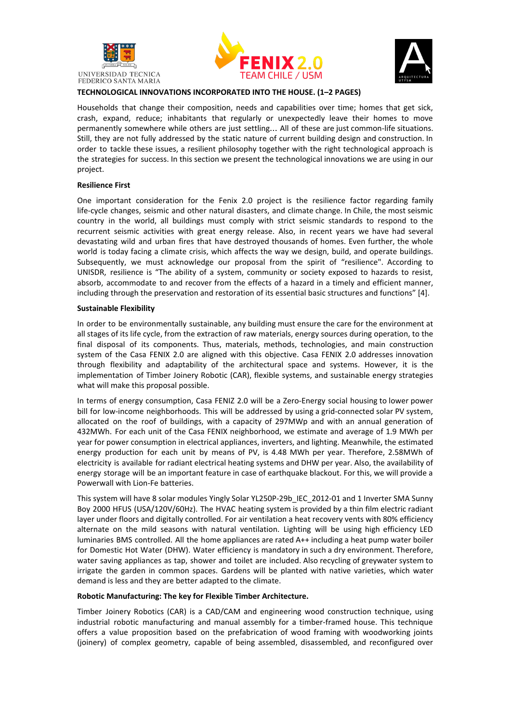





## **TECHNOLOGICAL INNOVATIONS INCORPORATED INTO THE HOUSE. (1–2 PAGES)**

Households that change their composition, needs and capabilities over time; homes that get sick, crash, expand, reduce; inhabitants that regularly or unexpectedly leave their homes to move permanently somewhere while others are just settling… All of these are just common-life situations. Still, they are not fully addressed by the static nature of current building design and construction. In order to tackle these issues, a resilient philosophy together with the right technological approach is the strategies for success. In this section we present the technological innovations we are using in our project.

## **Resilience First**

One important consideration for the Fenix 2.0 project is the resilience factor regarding family life-cycle changes, seismic and other natural disasters, and climate change. In Chile, the most seismic country in the world, all buildings must comply with strict seismic standards to respond to the recurrent seismic activities with great energy release. Also, in recent years we have had several devastating wild and urban fires that have destroyed thousands of homes. Even further, the whole world is today facing a climate crisis, which affects the way we design, build, and operate buildings. Subsequently, we must acknowledge our proposal from the spirit of "resilience". According to UNISDR, resilience is "The ability of a system, community or society exposed to hazards to resist, absorb, accommodate to and recover from the effects of a hazard in a timely and efficient manner, including through the preservation and restoration of its essential basic structures and functions" [4].

#### **Sustainable Flexibility**

In order to be environmentally sustainable, any building must ensure the care for the environment at all stages of its life cycle, from the extraction of raw materials, energy sources during operation, to the final disposal of its components. Thus, materials, methods, technologies, and main construction system of the Casa FENIX 2.0 are aligned with this objective. Casa FENIX 2.0 addresses innovation through flexibility and adaptability of the architectural space and systems. However, it is the implementation of Timber Joinery Robotic (CAR), flexible systems, and sustainable energy strategies what will make this proposal possible.

In terms of energy consumption, Casa FENIZ 2.0 will be a Zero-Energy social housing to lower power bill for low-income neighborhoods. This will be addressed by using a grid-connected solar PV system, allocated on the roof of buildings, with a capacity of 297MWp and with an annual generation of 432MWh. For each unit of the Casa FENIX neighborhood, we estimate and average of 1.9 MWh per year for power consumption in electrical appliances, inverters, and lighting. Meanwhile, the estimated energy production for each unit by means of PV, is 4.48 MWh per year. Therefore, 2.58MWh of electricity is available for radiant electrical heating systems and DHW per year. Also, the availability of energy storage will be an important feature in case of earthquake blackout. For this, we will provide a Powerwall with Lion-Fe batteries.

This system will have 8 solar modules Yingly Solar YL250P-29b\_IEC\_2012-01 and 1 Inverter SMA Sunny Boy 2000 HFUS (USA/120V/60Hz). The HVAC heating system is provided by a thin film electric radiant layer under floors and digitally controlled. For air ventilation a heat recovery vents with 80% efficiency alternate on the mild seasons with natural ventilation. Lighting will be using high efficiency LED luminaries BMS controlled. All the home appliances are rated A++ including a heat pump water boiler for Domestic Hot Water (DHW). Water efficiency is mandatory in such a dry environment. Therefore, water saving appliances as tap, shower and toilet are included. Also recycling of greywater system to irrigate the garden in common spaces. Gardens will be planted with native varieties, which water demand is less and they are better adapted to the climate.

## **Robotic Manufacturing: The key for Flexible Timber Architecture.**

Timber Joinery Robotics (CAR) is a CAD/CAM and engineering wood construction technique, using industrial robotic manufacturing and manual assembly for a timber-framed house. This technique offers a value proposition based on the prefabrication of wood framing with woodworking joints (joinery) of complex geometry, capable of being assembled, disassembled, and reconfigured over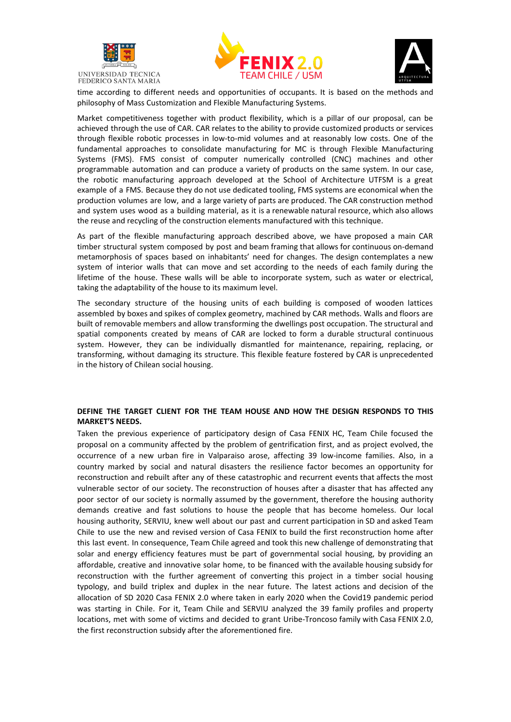





time according to different needs and opportunities of occupants. It is based on the methods and philosophy of Mass Customization and Flexible Manufacturing Systems.

Market competitiveness together with product flexibility, which is a pillar of our proposal, can be achieved through the use of CAR. CAR relates to the ability to provide customized products or services through flexible robotic processes in low-to-mid volumes and at reasonably low costs. One of the fundamental approaches to consolidate manufacturing for MC is through Flexible Manufacturing Systems (FMS). FMS consist of computer numerically controlled (CNC) machines and other programmable automation and can produce a variety of products on the same system. In our case, the robotic manufacturing approach developed at the School of Architecture UTFSM is a great example of a FMS. Because they do not use dedicated tooling, FMS systems are economical when the production volumes are low, and a large variety of parts are produced. The CAR construction method and system uses wood as a building material, as it is a renewable natural resource, which also allows the reuse and recycling of the construction elements manufactured with this technique.

As part of the flexible manufacturing approach described above, we have proposed a main CAR timber structural system composed by post and beam framing that allows for continuous on-demand metamorphosis of spaces based on inhabitants' need for changes. The design contemplates a new system of interior walls that can move and set according to the needs of each family during the lifetime of the house. These walls will be able to incorporate system, such as water or electrical, taking the adaptability of the house to its maximum level.

The secondary structure of the housing units of each building is composed of wooden lattices assembled by boxes and spikes of complex geometry, machined by CAR methods. Walls and floors are built of removable members and allow transforming the dwellings post occupation. The structural and spatial components created by means of CAR are locked to form a durable structural continuous system. However, they can be individually dismantled for maintenance, repairing, replacing, or transforming, without damaging its structure. This flexible feature fostered by CAR is unprecedented in the history of Chilean social housing.

# **DEFINE THE TARGET CLIENT FOR THE TEAM HOUSE AND HOW THE DESIGN RESPONDS TO THIS MARKET'S NEEDS.**

Taken the previous experience of participatory design of Casa FENIX HC, Team Chile focused the proposal on a community affected by the problem of gentrification first, and as project evolved, the occurrence of a new urban fire in Valparaiso arose, affecting 39 low-income families. Also, in a country marked by social and natural disasters the resilience factor becomes an opportunity for reconstruction and rebuilt after any of these catastrophic and recurrent events that affects the most vulnerable sector of our society. The reconstruction of houses after a disaster that has affected any poor sector of our society is normally assumed by the government, therefore the housing authority demands creative and fast solutions to house the people that has become homeless. Our local housing authority, SERVIU, knew well about our past and current participation in SD and asked Team Chile to use the new and revised version of Casa FENIX to build the first reconstruction home after this last event. In consequence, Team Chile agreed and took this new challenge of demonstrating that solar and energy efficiency features must be part of governmental social housing, by providing an affordable, creative and innovative solar home, to be financed with the available housing subsidy for reconstruction with the further agreement of converting this project in a timber social housing typology, and build triplex and duplex in the near future. The latest actions and decision of the allocation of SD 2020 Casa FENIX 2.0 where taken in early 2020 when the Covid19 pandemic period was starting in Chile. For it, Team Chile and SERVIU analyzed the 39 family profiles and property locations, met with some of victims and decided to grant Uribe-Troncoso family with Casa FENIX 2.0, the first reconstruction subsidy after the aforementioned fire.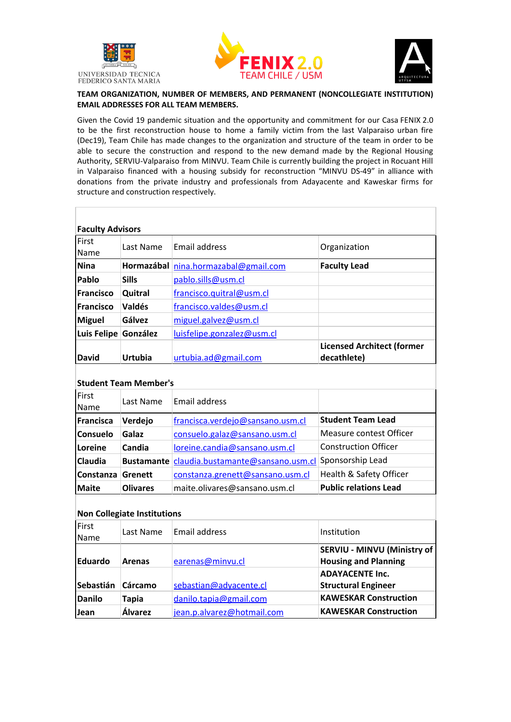





# **TEAM ORGANIZATION, NUMBER OF MEMBERS, AND PERMANENT (NONCOLLEGIATE INSTITUTION) EMAIL ADDRESSES FOR ALL TEAM MEMBERS.**

Given the Covid 19 pandemic situation and the opportunity and commitment for our Casa FENIX 2.0 to be the first reconstruction house to home a family victim from the last Valparaiso urban fire (Dec19), Team Chile has made changes to the organization and structure of the team in order to be able to secure the construction and respond to the new demand made by the Regional Housing Authority, SERVIU-Valparaiso from MINVU. Team Chile is currently building the project in Rocuant Hill in Valparaiso financed with a housing subsidy for reconstruction "MINVU DS-49" in alliance with donations from the private industry and professionals from Adayacente and Kaweskar firms for structure and construction respectively.

| <b>Faculty Advisors</b> |               |                                      |                                                  |  |  |  |
|-------------------------|---------------|--------------------------------------|--------------------------------------------------|--|--|--|
| First<br><b>Name</b>    | Last Name     | Email address                        | Organization                                     |  |  |  |
| <b>Nina</b>             |               | Hormazábal nina.hormazabal@gmail.com | <b>Faculty Lead</b>                              |  |  |  |
| Pablo                   | <b>Sills</b>  | pablo.sills@usm.cl                   |                                                  |  |  |  |
| <b>IFrancisco</b>       | Quitral       | francisco.quitral@usm.cl             |                                                  |  |  |  |
| <b>Francisco</b>        | <b>Valdés</b> | francisco.valdes@usm.cl              |                                                  |  |  |  |
| <b>Miguel</b>           | Gálvez        | miguel.galvez@usm.cl                 |                                                  |  |  |  |
| Luis Felipe González    |               | $l$ uisfelipe.gonzalez@usm.cl        |                                                  |  |  |  |
| <b>David</b>            | Urtubia       | urtubja.ad@gmail.com                 | <b>Licensed Architect (former</b><br>decathlete) |  |  |  |

# **Student Team Member's**

| First<br>Name   | Last Name       | <b>Email address</b>                         |                              |
|-----------------|-----------------|----------------------------------------------|------------------------------|
| Francisca       | Verdejo         | francisca.verdejo@sansano.usm.cl             | <b>Student Team Lead</b>     |
| <b>Consuelo</b> | Galaz           | consuelo.galaz@sansano.usm.cl                | Measure contest Officer      |
| Loreine         | <b>Candia</b>   | loreine.candia@sansano.usm.cl                | <b>Construction Officer</b>  |
| <b>Claudia</b>  |                 | Bustamante claudia.bustamante@sansano.usm.cl | Sponsorship Lead             |
| Constanza       | Grenett         | constanza.grenett@sansano.usm.cl             | Health & Safety Officer      |
| <b>Maite</b>    | <b>Olivares</b> | maite.olivares@sansano.usm.cl                | <b>Public relations Lead</b> |

# **Non Collegiate Institutions**

| First<br>Name  | Last Name     | Email address              | Institution                                                       |
|----------------|---------------|----------------------------|-------------------------------------------------------------------|
| <b>Eduardo</b> | <b>Arenas</b> | earenas@minvu.cl           | <b>SERVIU - MINVU (Ministry of</b><br><b>Housing and Planning</b> |
| Sebastián      | Cárcamo       | sebastian@advacente.cl     | <b>ADAYACENTE Inc.</b><br><b>Structural Engineer</b>              |
| <b>Danilo</b>  | <b>Tapia</b>  | danilo.tapia@gmail.com     | <b>KAWESKAR Construction</b>                                      |
| <b>Jean</b>    | Álvarez       | jean.p.alvarez@hotmail.com | <b>KAWESKAR Construction</b>                                      |